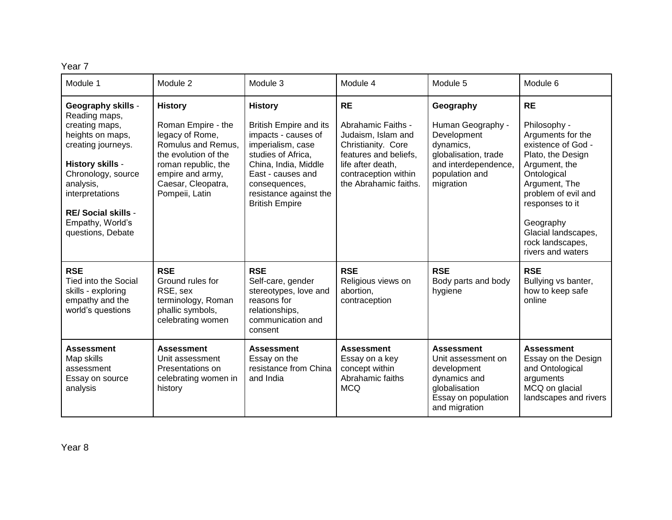Year 7

| Module 1                                                                                                                                                                                                                                               | Module 2                                                                                                                                                                                 | Module 3                                                                                                                                                                                                                           | Module 4                                                                                                                                                                   | Module 5                                                                                                                                  | Module 6                                                                                                                                                                                                                                                          |
|--------------------------------------------------------------------------------------------------------------------------------------------------------------------------------------------------------------------------------------------------------|------------------------------------------------------------------------------------------------------------------------------------------------------------------------------------------|------------------------------------------------------------------------------------------------------------------------------------------------------------------------------------------------------------------------------------|----------------------------------------------------------------------------------------------------------------------------------------------------------------------------|-------------------------------------------------------------------------------------------------------------------------------------------|-------------------------------------------------------------------------------------------------------------------------------------------------------------------------------------------------------------------------------------------------------------------|
| <b>Geography skills -</b><br>Reading maps,<br>creating maps,<br>heights on maps,<br>creating journeys.<br>History skills -<br>Chronology, source<br>analysis,<br>interpretations<br><b>RE/Social skills -</b><br>Empathy, World's<br>questions, Debate | <b>History</b><br>Roman Empire - the<br>legacy of Rome,<br>Romulus and Remus,<br>the evolution of the<br>roman republic, the<br>empire and army,<br>Caesar, Cleopatra,<br>Pompeii, Latin | <b>History</b><br><b>British Empire and its</b><br>impacts - causes of<br>imperialism, case<br>studies of Africa,<br>China, India, Middle<br>East - causes and<br>consequences,<br>resistance against the<br><b>British Empire</b> | <b>RE</b><br>Abrahamic Faiths -<br>Judaism, Islam and<br>Christianity. Core<br>features and beliefs.<br>life after death,<br>contraception within<br>the Abrahamic faiths. | Geography<br>Human Geography -<br>Development<br>dynamics,<br>globalisation, trade<br>and interdependence,<br>population and<br>migration | <b>RE</b><br>Philosophy -<br>Arguments for the<br>existence of God -<br>Plato, the Design<br>Argument, the<br>Ontological<br>Argument, The<br>problem of evil and<br>responses to it<br>Geography<br>Glacial landscapes,<br>rock landscapes,<br>rivers and waters |
| <b>RSE</b><br>Tied into the Social<br>skills - exploring<br>empathy and the<br>world's questions                                                                                                                                                       | <b>RSE</b><br>Ground rules for<br>RSE, sex<br>terminology, Roman<br>phallic symbols,<br>celebrating women                                                                                | <b>RSE</b><br>Self-care, gender<br>stereotypes, love and<br>reasons for<br>relationships,<br>communication and<br>consent                                                                                                          | <b>RSE</b><br>Religious views on<br>abortion,<br>contraception                                                                                                             | <b>RSE</b><br>Body parts and body<br>hygiene                                                                                              | <b>RSE</b><br>Bullying vs banter,<br>how to keep safe<br>online                                                                                                                                                                                                   |
| <b>Assessment</b><br>Map skills<br>assessment<br>Essay on source<br>analysis                                                                                                                                                                           | <b>Assessment</b><br>Unit assessment<br>Presentations on<br>celebrating women in<br>history                                                                                              | <b>Assessment</b><br>Essay on the<br>resistance from China<br>and India                                                                                                                                                            | <b>Assessment</b><br>Essay on a key<br>concept within<br>Abrahamic faiths<br><b>MCQ</b>                                                                                    | <b>Assessment</b><br>Unit assessment on<br>development<br>dynamics and<br>globalisation<br>Essay on population<br>and migration           | <b>Assessment</b><br>Essay on the Design<br>and Ontological<br>arguments<br>MCQ on glacial<br>landscapes and rivers                                                                                                                                               |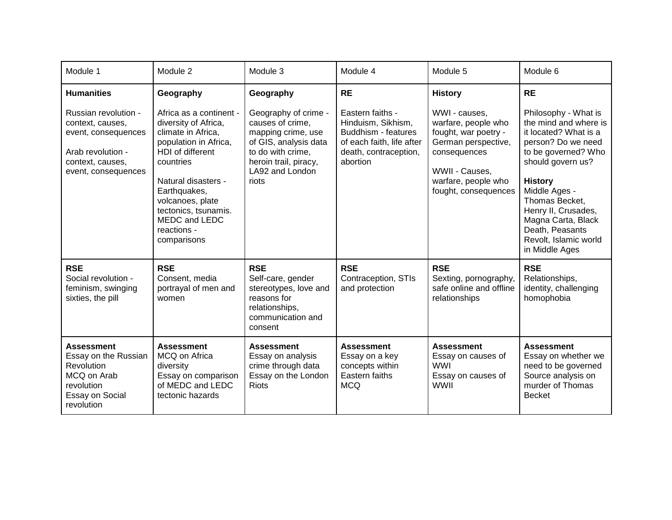| Module 1                                                                                                                        | Module 2                                                                                                                                                                                                                                                          | Module 3                                                                                                                                                          | Module 4                                                                                                                        | Module 5                                                                                                                                                             | Module 6                                                                                                                                                                                                                                                                                                 |
|---------------------------------------------------------------------------------------------------------------------------------|-------------------------------------------------------------------------------------------------------------------------------------------------------------------------------------------------------------------------------------------------------------------|-------------------------------------------------------------------------------------------------------------------------------------------------------------------|---------------------------------------------------------------------------------------------------------------------------------|----------------------------------------------------------------------------------------------------------------------------------------------------------------------|----------------------------------------------------------------------------------------------------------------------------------------------------------------------------------------------------------------------------------------------------------------------------------------------------------|
| <b>Humanities</b>                                                                                                               | Geography                                                                                                                                                                                                                                                         | Geography                                                                                                                                                         | <b>RE</b>                                                                                                                       | <b>History</b>                                                                                                                                                       | <b>RE</b>                                                                                                                                                                                                                                                                                                |
| Russian revolution -<br>context, causes,<br>event, consequences<br>Arab revolution -<br>context, causes,<br>event, consequences | Africa as a continent -<br>diversity of Africa,<br>climate in Africa,<br>population in Africa,<br>HDI of different<br>countries<br>Natural disasters -<br>Earthquakes,<br>volcanoes, plate<br>tectonics, tsunamis.<br>MEDC and LEDC<br>reactions -<br>comparisons | Geography of crime -<br>causes of crime,<br>mapping crime, use<br>of GIS, analysis data<br>to do with crime,<br>heroin trail, piracy,<br>LA92 and London<br>riots | Eastern faiths -<br>Hinduism, Sikhism,<br>Buddhism - features<br>of each faith, life after<br>death, contraception,<br>abortion | WWI - causes,<br>warfare, people who<br>fought, war poetry -<br>German perspective,<br>consequences<br>WWII - Causes,<br>warfare, people who<br>fought, consequences | Philosophy - What is<br>the mind and where is<br>it located? What is a<br>person? Do we need<br>to be governed? Who<br>should govern us?<br><b>History</b><br>Middle Ages -<br>Thomas Becket,<br>Henry II, Crusades,<br>Magna Carta, Black<br>Death, Peasants<br>Revolt, Islamic world<br>in Middle Ages |
| <b>RSE</b><br>Social revolution -<br>feminism, swinging<br>sixties, the pill                                                    | <b>RSE</b><br>Consent, media<br>portrayal of men and<br>women                                                                                                                                                                                                     | <b>RSE</b><br>Self-care, gender<br>stereotypes, love and<br>reasons for<br>relationships,<br>communication and<br>consent                                         | <b>RSE</b><br>Contraception, STIs<br>and protection                                                                             | <b>RSE</b><br>Sexting, pornography,<br>safe online and offline<br>relationships                                                                                      | <b>RSE</b><br>Relationships,<br>identity, challenging<br>homophobia                                                                                                                                                                                                                                      |
| <b>Assessment</b><br>Essay on the Russian<br><b>Revolution</b><br>MCQ on Arab<br>revolution<br>Essay on Social<br>revolution    | <b>Assessment</b><br>MCQ on Africa<br>diversity<br>Essay on comparison<br>of MEDC and LEDC<br>tectonic hazards                                                                                                                                                    | <b>Assessment</b><br>Essay on analysis<br>crime through data<br>Essay on the London<br><b>Riots</b>                                                               | <b>Assessment</b><br>Essay on a key<br>concepts within<br>Eastern faiths<br><b>MCQ</b>                                          | <b>Assessment</b><br>Essay on causes of<br><b>WWI</b><br>Essay on causes of<br><b>WWII</b>                                                                           | <b>Assessment</b><br>Essay on whether we<br>need to be governed<br>Source analysis on<br>murder of Thomas<br><b>Becket</b>                                                                                                                                                                               |